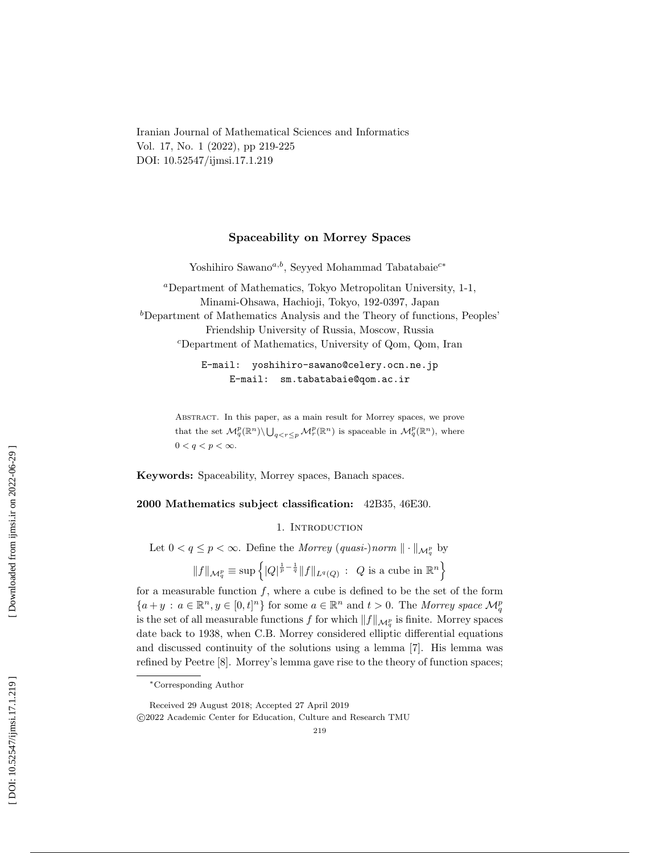Iranian Journal of Mathematical Sciences and Informatics Vol. 17, No. 1 (2022), pp 219-225 DOI: 10.52547/ijmsi.17.1.219

## Spaceability on Morrey Spaces

Yoshihiro Sawano<sup>*a,b*</sup>, Seyyed Mohammad Tabatabaie<sup>c∗</sup>

<sup>a</sup>Department of Mathematics, Tokyo Metropolitan University, 1-1, Minami-Ohsawa, Hachioji, Tokyo, 192-0397, Japan  $b$ Department of Mathematics Analysis and the Theory of functions, Peoples' Friendship University of Russia, Moscow, Russia <sup>c</sup>Department of Mathematics, University of Qom, Qom, Iran

> E-mail: yoshihiro-sawano@celery.ocn.ne.jp E-mail: sm.tabatabaie@qom.ac.ir

Abstract. In this paper, as a main result for Morrey spaces, we prove that the set  $\mathcal{M}_q^p(\mathbb{R}^n) \setminus \bigcup_{q < r \leq p} \mathcal{M}_r^p(\mathbb{R}^n)$  is spaceable in  $\mathcal{M}_q^p(\mathbb{R}^n)$ , where  $0 < q < p < \infty$ .

Keywords: Spaceability, Morrey spaces, Banach spaces.

# 2000 Mathematics subject classification: 42B35, 46E30.

## 1. INTRODUCTION

Let  $0 < q \leq p < \infty$ . Define the *Morrey*  $-quasi-)norm \|\cdot\|_{\mathcal{M}_q^p}$  by

$$
||f||_{\mathcal{M}_q^p} \equiv \sup \left\{ |Q|^{\frac{1}{p} - \frac{1}{q}} ||f||_{L^q(Q)} \, : \, Q \text{ is a cube in } \mathbb{R}^n \right\}
$$

for a measurable function  $f$ , where a cube is defined to be the set of the form  ${a+y : a \in \mathbb{R}^n, y \in [0,t]^n}$  for some  $a \in \mathbb{R}^n$  and  $t > 0$ . The Morrey space  $\mathcal{M}_q^p$ is the set of all measurable functions f for which  $||f||_{\mathcal{M}_q^p}$  is finite. Morrey spaces date back to 1938, when C.B. Morrey considered elliptic differential equations and discussed continuity of the solutions using a lemma [7]. His lemma was refined by Peetre [8]. Morrey's lemma gave rise to the theory of function spaces;

<sup>∗</sup>Corresponding Author

Received 29 August 2018; Accepted 27 April 2019 c 2022 Academic Center for Education, Culture and Research TMU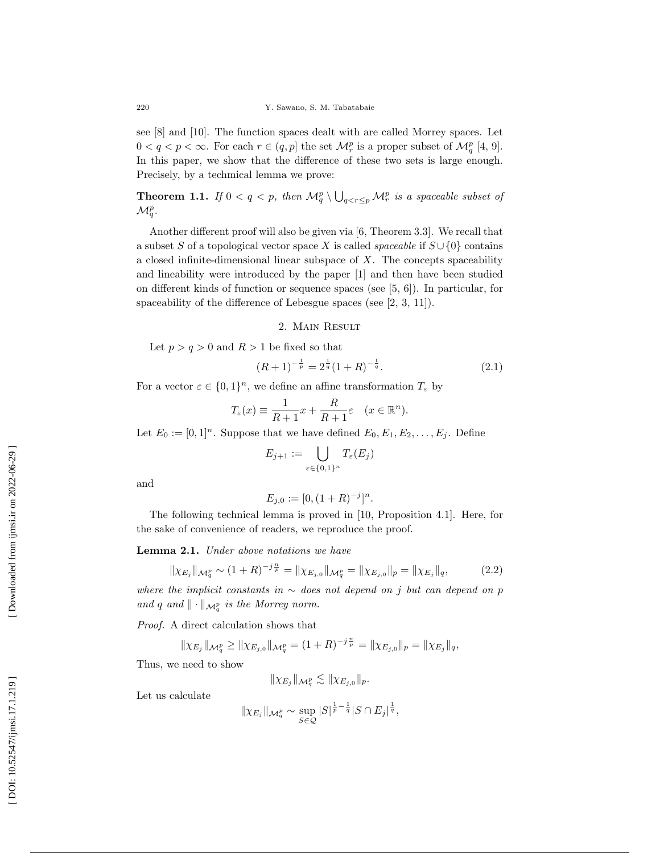see [8] and [10]. The function spaces dealt with are called Morrey spaces. Let  $0 < q < p < \infty$ . For each  $r \in (q, p]$  the set  $\mathcal{M}_r^p$  is a proper subset of  $\mathcal{M}_q^p$  [4, 9]. In this paper, we show that the difference of these two sets is large enough. Precisely, by a techmical lemma we prove:

**Theorem 1.1.** If  $0 < q < p$ , then  $\mathcal{M}_q^p \setminus \bigcup_{q < r \leq p} \mathcal{M}_r^p$  is a spaceable subset of  $\mathcal{M}^p_q$ .

Another different proof will also be given via [6, Theorem 3.3]. We recall that a subset S of a topological vector space X is called *spaceable* if  $S \cup \{0\}$  contains a closed infinite-dimensional linear subspace of  $X$ . The concepts spaceability and lineability were introduced by the paper [1] and then have been studied on different kinds of function or sequence spaces (see [5, 6]). In particular, for spaceability of the difference of Lebesgue spaces (see [2, 3, 11]).

### 2. Main Result

Let  $p > q > 0$  and  $R > 1$  be fixed so that

$$
(R+1)^{-\frac{1}{p}} = 2^{\frac{1}{q}}(1+R)^{-\frac{1}{q}}.
$$
\n(2.1)

For a vector  $\varepsilon \in \{0,1\}^n$ , we define an affine transformation  $T_{\varepsilon}$  by

$$
T_{\varepsilon}(x) \equiv \frac{1}{R+1}x + \frac{R}{R+1}\varepsilon \quad (x \in \mathbb{R}^n).
$$

Let  $E_0 := [0,1]^n$ . Suppose that we have defined  $E_0, E_1, E_2, \ldots, E_j$ . Define

$$
E_{j+1} := \bigcup_{\varepsilon \in \{0,1\}^n} T_{\varepsilon}(E_j)
$$

and

$$
E_{j,0} := [0, (1+R)^{-j}]^n.
$$

The following technical lemma is proved in [10, Proposition 4.1]. Here, for the sake of convenience of readers, we reproduce the proof.

Lemma 2.1. Under above notations we have

$$
\|\chi_{E_j}\|_{\mathcal{M}_q^p} \sim (1+R)^{-j\frac{n}{p}} = \|\chi_{E_{j,0}}\|_{\mathcal{M}_q^p} = \|\chi_{E_{j,0}}\|_p = \|\chi_{E_j}\|_q, \tag{2.2}
$$

where the implicit constants in  $\sim$  does not depend on j but can depend on p and q and  $\|\cdot\|_{\mathcal{M}^p_q}$  is the Morrey norm.

Proof. A direct calculation shows that

$$
\|\chi_{E_j}\|_{\mathcal{M}_q^p} \ge \|\chi_{E_{j,0}}\|_{\mathcal{M}_q^p} = (1+R)^{-j\frac{n}{p}} = \|\chi_{E_{j,0}}\|_p = \|\chi_{E_j}\|_q,
$$

Thus, we need to show

$$
\|\chi_{E_j}\|_{\mathcal{M}^p_q} \lesssim \|\chi_{E_{j,0}}\|_p.
$$

Let us calculate

$$
\|\chi_{E_j}\|_{\mathcal{M}_q^p} \sim \sup_{S \in \mathcal{Q}} |S|^{\frac{1}{p}-\frac{1}{q}} |S \cap E_j|^{\frac{1}{q}},
$$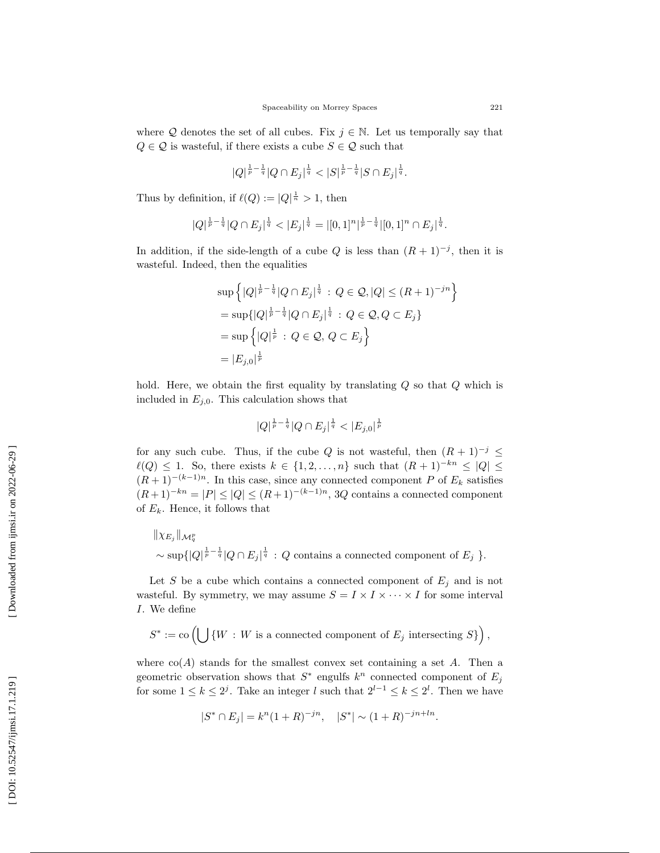where Q denotes the set of all cubes. Fix  $j \in \mathbb{N}$ . Let us temporally say that  $Q \in \mathcal{Q}$  is wasteful, if there exists a cube  $S \in \mathcal{Q}$  such that

$$
|Q|^{\frac{1}{p}-\frac{1}{q}}|Q \cap E_j|^{\frac{1}{q}} < |S|^{\frac{1}{p}-\frac{1}{q}}|S \cap E_j|^{\frac{1}{q}}.
$$

Thus by definition, if  $\ell(Q) := |Q|^{\frac{1}{n}} > 1$ , then

$$
|Q|^{\frac{1}{p}-\frac{1}{q}}|Q \cap E_j|^{\frac{1}{q}} < |E_j|^{\frac{1}{q}} = |[0,1]^n|^{\frac{1}{p}-\frac{1}{q}}|[0,1]^n \cap E_j|^{\frac{1}{q}}.
$$

In addition, if the side-length of a cube Q is less than  $(R + 1)^{-j}$ , then it is wasteful. Indeed, then the equalities

$$
\sup \left\{ |Q|^{\frac{1}{p} - \frac{1}{q}} |Q \cap E_j|^{\frac{1}{q}} : Q \in \mathcal{Q}, |Q| \le (R+1)^{-jn} \right\}
$$
  
= 
$$
\sup \{ |Q|^{\frac{1}{p} - \frac{1}{q}} |Q \cap E_j|^{\frac{1}{q}} : Q \in \mathcal{Q}, Q \subset E_j \}
$$
  
= 
$$
\sup \left\{ |Q|^{\frac{1}{p}} : Q \in \mathcal{Q}, Q \subset E_j \right\}
$$
  
= 
$$
|E_{j,0}|^{\frac{1}{p}}
$$

hold. Here, we obtain the first equality by translating Q so that Q which is included in  $E_{j,0}$ . This calculation shows that

$$
|Q|^{\frac{1}{p}-\frac{1}{q}}|Q\cap E_j|^{\frac{1}{q}}<|E_{j,0}|^{\frac{1}{p}}
$$

for any such cube. Thus, if the cube Q is not wasteful, then  $(R+1)^{-j} \leq$  $\ell(Q) \leq 1$ . So, there exists  $k \in \{1, 2, ..., n\}$  such that  $(R + 1)^{-kn} \leq |Q| \leq$  $(R+1)^{-(k-1)n}$ . In this case, since any connected component P of  $E_k$  satisfies  $(R+1)^{-kn} = |P| \leq |Q| \leq (R+1)^{-(k-1)n}$ , 3Q contains a connected component of  $E_k$ . Hence, it follows that

 $\|\chi_{E_j}\|_{\mathcal{M}^p_q}$  $\sim \sup\{|Q|^{\frac{1}{p}-\frac{1}{q}}|Q \cap E_j|^{\frac{1}{q}} : Q \text{ contains a connected component of } E_j \}.$ 

Let S be a cube which contains a connected component of  $E_j$  and is not wasteful. By symmetry, we may assume  $S = I \times I \times \cdots \times I$  for some interval I. We define

$$
S^* := \text{co} \left( \bigcup \{ W : W \text{ is a connected component of } E_j \text{ intersecting } S \} \right),
$$

where  $co(A)$  stands for the smallest convex set containing a set A. Then a geometric observation shows that  $S^*$  engulfs  $k^n$  connected component of  $E_j$ for some  $1 \leq k \leq 2^j$ . Take an integer l such that  $2^{l-1} \leq k \leq 2^l$ . Then we have

$$
|S^* \cap E_j| = k^n (1 + R)^{-jn}, \quad |S^*| \sim (1 + R)^{-jn + ln}.
$$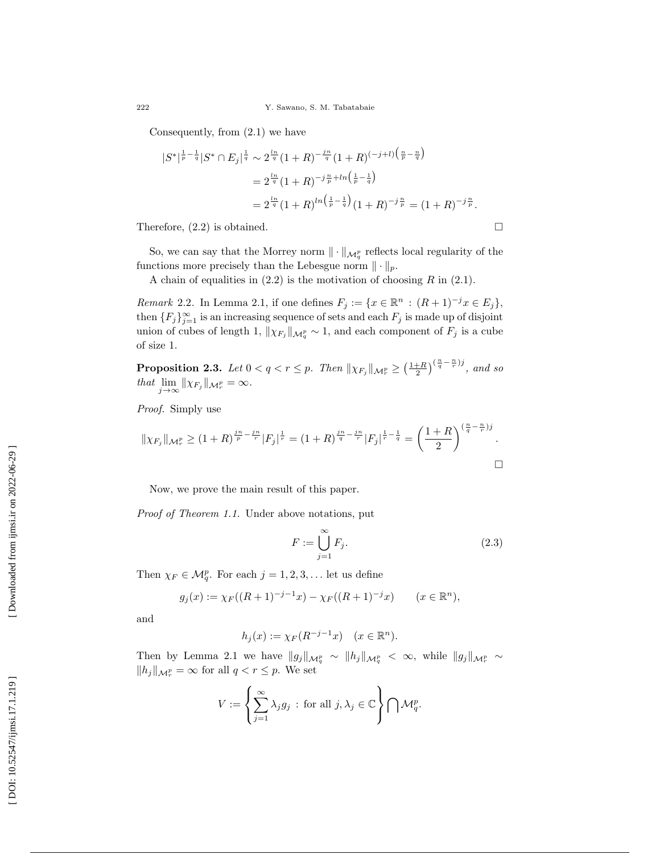Consequently, from (2.1) we have

$$
|S^*|^{\frac{1}{p}-\frac{1}{q}}|S^* \cap E_j|^{\frac{1}{q}} \sim 2^{\frac{ln}{q}} (1+R)^{-\frac{in}{q}} (1+R)^{(-j+l)\left(\frac{n}{p}-\frac{n}{q}\right)}
$$
  
=  $2^{\frac{ln}{q}} (1+R)^{-j\frac{n}{p}+ln\left(\frac{1}{p}-\frac{1}{q}\right)}$   
=  $2^{\frac{ln}{q}} (1+R)^{ln\left(\frac{1}{p}-\frac{1}{q}\right)} (1+R)^{-j\frac{n}{p}} = (1+R)^{-j\frac{n}{p}}.$ 

Therefore, (2.2) is obtained.

So, we can say that the Morrey norm  $\|\cdot\|_{\mathcal{M}^p_q}$  reflects local regularity of the functions more precisely than the Lebesgue norm  $\|\cdot\|_p$ .

A chain of equalities in  $(2.2)$  is the motivation of choosing R in  $(2.1)$ .

*Remark* 2.2. In Lemma 2.1, if one defines  $F_j := \{x \in \mathbb{R}^n : (R+1)^{-j}x \in E_j\},\$ then  $\{F_j\}_{j=1}^{\infty}$  is an increasing sequence of sets and each  $F_j$  is made up of disjoint union of cubes of length 1,  $\|\chi_{F_j}\|_{\mathcal{M}^p_q} \sim 1$ , and each component of  $F_j$  is a cube of size 1.

**Proposition 2.3.** Let  $0 < q < r \leq p$ . Then  $\|\chi_{F_j}\|_{\mathcal{M}^p_r} \geq \left(\frac{1+R}{2}\right)^{\left(\frac{n}{q}-\frac{n}{r}\right)j}$ , and so that  $\lim_{j\to\infty} ||\chi_{F_j}||_{\mathcal{M}_r^p} = \infty$ .

Proof. Simply use

$$
\|\chi_{F_j}\|_{\mathcal{M}_r^p} \ge (1+R)^{\frac{jn}{p}-\frac{jn}{r}}|F_j|^{\frac{1}{r}} = (1+R)^{\frac{jn}{q}-\frac{jn}{r}}|F_j|^{\frac{1}{r}-\frac{1}{q}} = \left(\frac{1+R}{2}\right)^{(\frac{n}{q}-\frac{n}{r})j}.
$$

Now, we prove the main result of this paper.

Proof of Theorem 1.1. Under above notations, put

$$
F := \bigcup_{j=1}^{\infty} F_j.
$$
\n(2.3)

 $\Box$ 

Then  $\chi_F \in \mathcal{M}_q^p$ . For each  $j = 1, 2, 3, \dots$  let us define

$$
g_j(x) := \chi_F((R+1)^{-j-1}x) - \chi_F((R+1)^{-j}x) \qquad (x \in \mathbb{R}^n),
$$

and

$$
h_j(x) := \chi_F(R^{-j-1}x) \quad (x \in \mathbb{R}^n).
$$

Then by Lemma 2.1 we have  $||g_j||_{\mathcal{M}_q^p} \sim ||h_j||_{\mathcal{M}_q^p} < \infty$ , while  $||g_j||_{\mathcal{M}_r^p} \sim$  $||h_j||_{\mathcal{M}_r^p} = \infty$  for all  $q < r \leq p$ . We set

$$
V:=\left\{\sum_{j=1}^\infty \lambda_j g_j\,:\,\text{for all } j,\lambda_j\in\mathbb{C}\right\}\bigcap \mathcal{M}^p_q.
$$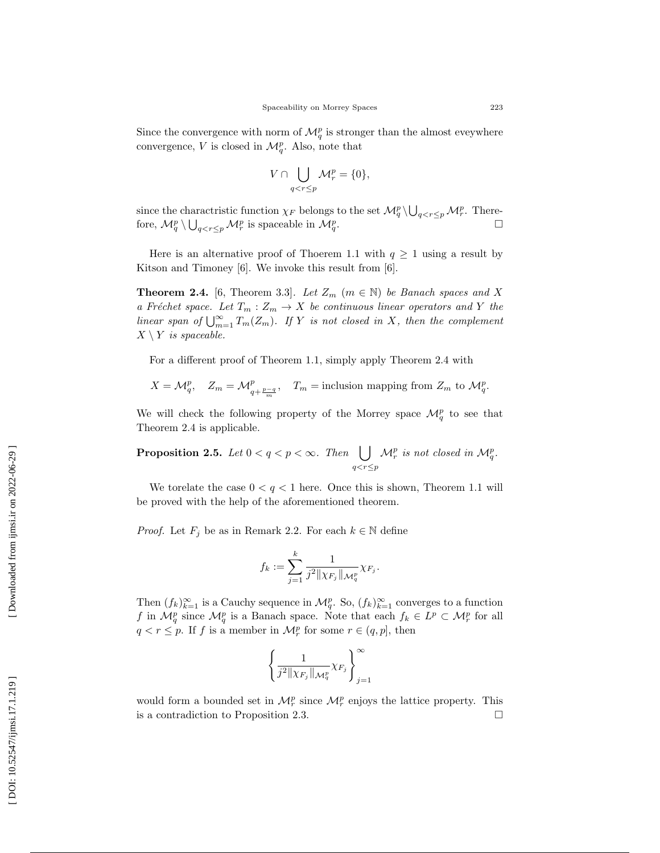Since the convergence with norm of  $\mathcal{M}_q^p$  is stronger than the almost eveywhere convergence, V is closed in  $\mathcal{M}_q^p$ . Also, note that

$$
V \cap \bigcup_{q < r \le p} \mathcal{M}_r^p = \{0\},\
$$

since the charactristic function  $\chi_F$  belongs to the set  $\mathcal{M}_q^p \setminus \bigcup_{q < r \leq p} \mathcal{M}_r^p$ . Therefore,  $\mathcal{M}_q^p \setminus \bigcup_{q < r \leq p} \mathcal{M}_r^p$  is spaceable in  $\mathcal{M}_q^p$ .  $\Box$ 

Here is an alternative proof of Thoerem 1.1 with  $q \geq 1$  using a result by Kitson and Timoney [6]. We invoke this result from [6].

**Theorem 2.4.** [6, Theorem 3.3]. Let  $Z_m$  ( $m \in \mathbb{N}$ ) be Banach spaces and X a Fréchet space. Let  $T_m: Z_m \to X$  be continuous linear operators and Y the linear span of  $\bigcup_{m=1}^{\infty}$  $\sum_{m=1}^{\infty} T_m(Z_m)$ . If Y is not closed in X, then the complement  $X \setminus Y$  is spaceable.

For a different proof of Theorem 1.1, simply apply Theorem 2.4 with

$$
X = \mathcal{M}_q^p, \quad Z_m = \mathcal{M}_{q + \frac{p-q}{m}}^p, \quad T_m = \text{inclusion mapping from } Z_m \text{ to } \mathcal{M}_q^p.
$$

We will check the following property of the Morrey space  $\mathcal{M}_q^p$  to see that Theorem 2.4 is applicable.

**Proposition 2.5.** Let  $0 < q < p < \infty$ . Then  $\left| \right|$  $q < r \leq p$  $\mathcal{M}_r^p$  is not closed in  $\mathcal{M}_q^p$ .

We torelate the case  $0 < q < 1$  here. Once this is shown, Theorem 1.1 will be proved with the help of the aforementioned theorem.

*Proof.* Let  $F_j$  be as in Remark 2.2. For each  $k \in \mathbb{N}$  define

$$
f_k := \sum_{j=1}^k \frac{1}{j^2 \|\chi_{F_j}\|_{\mathcal{M}^p_q}} \chi_{F_j}.
$$

Then  $(f_k)_{k=1}^{\infty}$  is a Cauchy sequence in  $\mathcal{M}_q^p$ . So,  $(f_k)_{k=1}^{\infty}$  converges to a function f in  $\mathcal{M}_q^p$  since  $\mathcal{M}_q^p$  is a Banach space. Note that each  $f_k \in L^p \subset \mathcal{M}_r^p$  for all  $q < r \leq p$ . If f is a member in  $\mathcal{M}_r^p$  for some  $r \in (q, p]$ , then

$$
\left\{\frac{1}{j^2\|\chi_{F_j}\|_{\mathcal{M}^p_q}}\chi_{F_j}\right\}_{j=1}^\infty
$$

would form a bounded set in  $\mathcal{M}_r^p$  since  $\mathcal{M}_r^p$  enjoys the lattice property. This is a contradiction to Proposition 2.3. П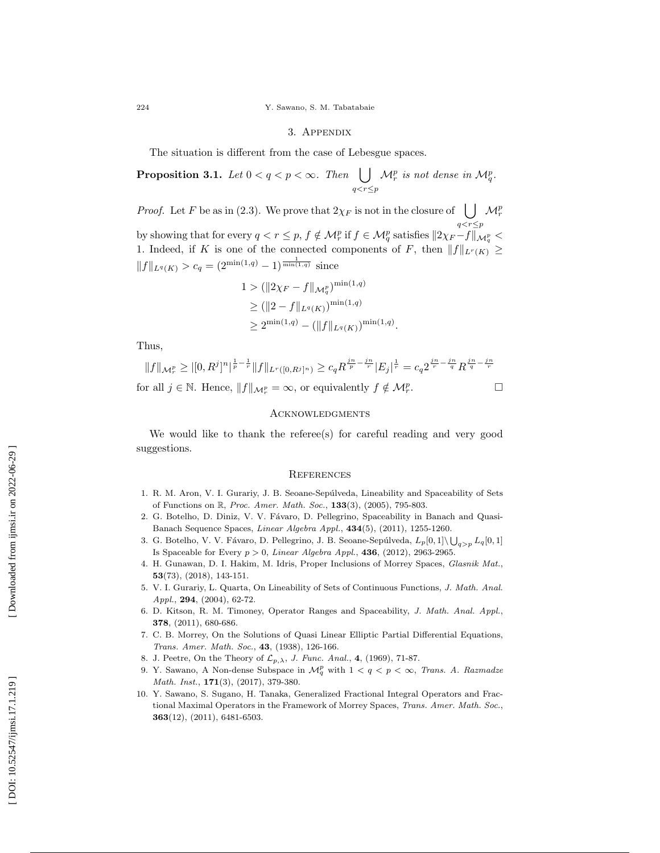#### 3. Appendix

The situation is different from the case of Lebesgue spaces.

**Proposition 3.1.** Let 
$$
0 < q < p < \infty
$$
. Then  $\bigcup_{q < r \leq p} \mathcal{M}_r^p$  is not dense in  $\mathcal{M}_q^p$ .

*Proof.* Let F be as in (2.3). We prove that  $2\chi_F$  is not in the closure of  $\bigcup \mathcal{M}_r^p$  $q < r \leq p$ by showing that for every  $q < r \leq p$ ,  $f \notin \mathcal{M}_r^p$  if  $f \in \mathcal{M}_q^p$  satisfies  $||2\chi_F - f||_{\mathcal{M}_q^p}$ 1. Indeed, if K is one of the connected components of F, then  $||f||_{L^r(K)} \ge$  $||f||_{L^q(K)} > c_q = (2^{\min(1,q)} - 1)^{\frac{1}{\min(1,q)}}$  since

$$
1 > (\|2\chi_F - f\|_{\mathcal{M}^p_q})^{\min(1,q)}
$$
  
\n
$$
\geq (\|2 - f\|_{L^q(K)})^{\min(1,q)}
$$
  
\n
$$
\geq 2^{\min(1,q)} - (\|f\|_{L^q(K)})^{\min(1,q)}.
$$

Thus,

$$
||f||_{\mathcal{M}_r^p} \ge |[0, R^j]^n|^{\frac{1}{p} - \frac{1}{r}} ||f||_{L^r([0, R^j]^n)} \ge c_q R^{\frac{jn}{p} - \frac{jn}{r}} |E_j|^{\frac{1}{r}} = c_q 2^{\frac{jn}{r} - \frac{jn}{q}} R^{\frac{jn}{q} - \frac{jn}{r}}
$$
  
for all  $j \in \mathbb{N}$ . Hence,  $||f||_{\mathcal{M}_r^p} = \infty$ , or equivalently  $f \notin \mathcal{M}_r^p$ .

### Acknowledgments

We would like to thank the referee(s) for careful reading and very good suggestions.

#### **REFERENCES**

- 1. R. M. Aron, V. I. Gurariy, J. B. Seoane-Sepúlveda, Lineability and Spaceability of Sets of Functions on R, Proc. Amer. Math. Soc., 133(3), (2005), 795-803.
- 2. G. Botelho, D. Diniz, V. V. Fávaro, D. Pellegrino, Spaceability in Banach and Quasi-Banach Sequence Spaces, Linear Algebra Appl., 434(5), (2011), 1255-1260.
- 3. G. Botelho, V. V. Fávaro, D. Pellegrino, J. B. Seoane-Sepúlveda,  $L_p[0,1] \setminus \bigcup_{q>p} L_q[0,1]$ Is Spaceable for Every  $p > 0$ , Linear Algebra Appl., 436, (2012), 2963-2965.
- 4. H. Gunawan, D. I. Hakim, M. Idris, Proper Inclusions of Morrey Spaces, Glasnik Mat., 53(73), (2018), 143-151.
- 5. V. I. Gurariy, L. Quarta, On Lineability of Sets of Continuous Functions, J. Math. Anal. Appl., **294**, (2004), 62-72.
- 6. D. Kitson, R. M. Timoney, Operator Ranges and Spaceability, J. Math. Anal. Appl., 378, (2011), 680-686.
- 7. C. B. Morrey, On the Solutions of Quasi Linear Elliptic Partial Differential Equations, Trans. Amer. Math. Soc. , 43, (1938), 126-166.
- 8. J. Peetre, On the Theory of  $\mathcal{L}_{p,\lambda}$ , J. Func. Anal., 4, (1969), 71-87.
- 9. Y. Sawano, A Non-dense Subspace in  $\mathcal{M}_q^p$  with  $1 < q < p < \infty$ , Trans. A. Razmadze Math. Inst., **171**(3), (2017), 379-380.
- 10. Y. Sawano, S. Sugano, H. Tanaka, Generalized Fractional Integral Operators and Fractional Maximal Operators in the Framework of Morrey Spaces, Trans. Amer. Math. Soc., 363(12), (2011), 6481-6503.